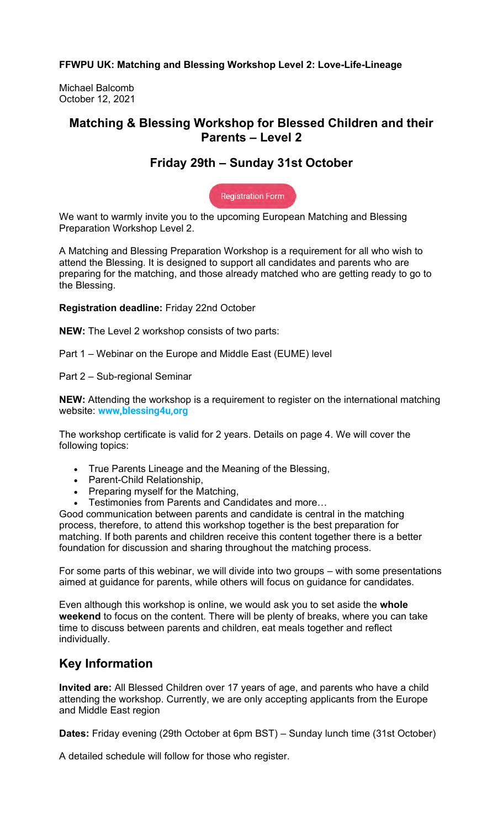**FFWPU UK: Matching and Blessing Workshop Level 2: Love-Life-Lineage**

Michael Balcomb October 12, 2021

### **Matching & Blessing Workshop for Blessed Children and their Parents – Level 2**

## **Friday 29th – Sunday 31st October**

**Registration Form** 

We want to warmly invite you to the upcoming European Matching and Blessing Preparation Workshop Level 2.

A Matching and Blessing Preparation Workshop is a requirement for all who wish to attend the Blessing. It is designed to support all candidates and parents who are preparing for the matching, and those already matched who are getting ready to go to the Blessing.

**Registration deadline:** Friday 22nd October

**NEW:** The Level 2 workshop consists of two parts:

Part 1 – Webinar on the Europe and Middle East (EUME) level

Part 2 – Sub-regional Seminar

**NEW:** Attending the workshop is a requirement to register on the international matching website: **www,blessing4u,org**

The workshop certificate is valid for 2 years. Details on page 4. We will cover the following topics:

- True Parents Lineage and the Meaning of the Blessing,
- Parent-Child Relationship,
- Preparing myself for the Matching,
- Testimonies from Parents and Candidates and more…

Good communication between parents and candidate is central in the matching process, therefore, to attend this workshop together is the best preparation for matching. If both parents and children receive this content together there is a better foundation for discussion and sharing throughout the matching process.

For some parts of this webinar, we will divide into two groups – with some presentations aimed at guidance for parents, while others will focus on guidance for candidates.

Even although this workshop is online, we would ask you to set aside the **whole weekend** to focus on the content. There will be plenty of breaks, where you can take time to discuss between parents and children, eat meals together and reflect individually.

## **Key Information**

**Invited are:** All Blessed Children over 17 years of age, and parents who have a child attending the workshop. Currently, we are only accepting applicants from the Europe and Middle East region

**Dates:** Friday evening (29th October at 6pm BST) – Sunday lunch time (31st October)

A detailed schedule will follow for those who register.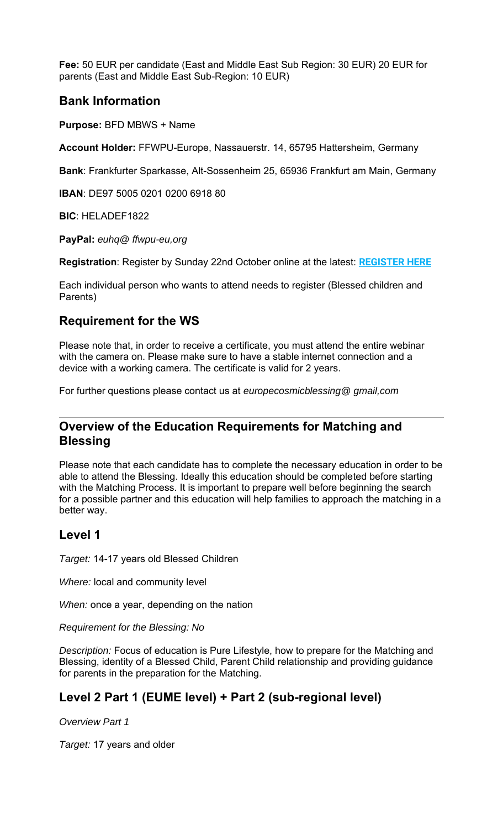**Fee:** 50 EUR per candidate (East and Middle East Sub Region: 30 EUR) 20 EUR for parents (East and Middle East Sub-Region: 10 EUR)

### **Bank Information**

**Purpose:** BFD MBWS + Name

**Account Holder:** FFWPU-Europe, Nassauerstr. 14, 65795 Hattersheim, Germany

**Bank**: Frankfurter Sparkasse, Alt-Sossenheim 25, 65936 Frankfurt am Main, Germany

**IBAN**: DE97 5005 0201 0200 6918 80

**BIC**: HELADEF1822

**PayPal:** *euhq@ ffwpu-eu,org*

**Registration**: Register by Sunday 22nd October online at the latest: **REGISTER HERE**

Each individual person who wants to attend needs to register (Blessed children and Parents)

## **Requirement for the WS**

Please note that, in order to receive a certificate, you must attend the entire webinar with the camera on. Please make sure to have a stable internet connection and a device with a working camera. The certificate is valid for 2 years.

For further questions please contact us at *europecosmicblessing@ gmail,com*

### **Overview of the Education Requirements for Matching and Blessing**

Please note that each candidate has to complete the necessary education in order to be able to attend the Blessing. Ideally this education should be completed before starting with the Matching Process. It is important to prepare well before beginning the search for a possible partner and this education will help families to approach the matching in a better way.

#### **Level 1**

*Target:* 14-17 years old Blessed Children

*Where:* local and community level

*When:* once a year, depending on the nation

*Requirement for the Blessing: No*

*Description:* Focus of education is Pure Lifestyle, how to prepare for the Matching and Blessing, identity of a Blessed Child, Parent Child relationship and providing guidance for parents in the preparation for the Matching.

## **Level 2 Part 1 (EUME level) + Part 2 (sub-regional level)**

*Overview Part 1*

*Target:* 17 years and older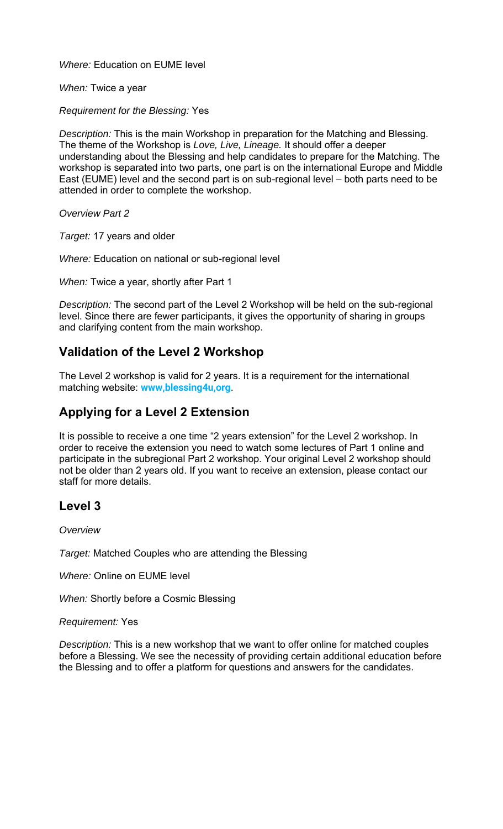*Where:* Education on EUME level

*When:* Twice a year

*Requirement for the Blessing:* Yes

*Description:* This is the main Workshop in preparation for the Matching and Blessing. The theme of the Workshop is *Love, Live, Lineage.* It should offer a deeper understanding about the Blessing and help candidates to prepare for the Matching. The workshop is separated into two parts, one part is on the international Europe and Middle East (EUME) level and the second part is on sub-regional level – both parts need to be attended in order to complete the workshop.

*Overview Part 2*

*Target:* 17 years and older

*Where:* Education on national or sub-regional level

*When:* Twice a year, shortly after Part 1

*Description:* The second part of the Level 2 Workshop will be held on the sub-regional level. Since there are fewer participants, it gives the opportunity of sharing in groups and clarifying content from the main workshop.

# **Validation of the Level 2 Workshop**

The Level 2 workshop is valid for 2 years. It is a requirement for the international matching website: **www,blessing4u,org**.

# **Applying for a Level 2 Extension**

It is possible to receive a one time "2 years extension" for the Level 2 workshop. In order to receive the extension you need to watch some lectures of Part 1 online and participate in the subregional Part 2 workshop. Your original Level 2 workshop should not be older than 2 years old. If you want to receive an extension, please contact our staff for more details.

## **Level 3**

*Overview*

*Target:* Matched Couples who are attending the Blessing

*Where:* Online on EUME level

*When:* Shortly before a Cosmic Blessing

*Requirement:* Yes

*Description:* This is a new workshop that we want to offer online for matched couples before a Blessing. We see the necessity of providing certain additional education before the Blessing and to offer a platform for questions and answers for the candidates.